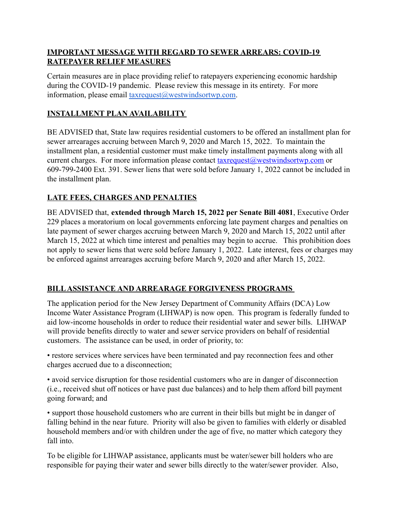## **IMPORTANT MESSAGE WITH REGARD TO SEWER ARREARS: COVID-19 RATEPAYER RELIEF MEASURES**

Certain measures are in place providing relief to ratepayers experiencing economic hardship during the COVID-19 pandemic. Please review this message in its entirety. For more information, please email [taxrequest@westwindsortwp.com.](mailto:taxrequest@westwindsortwp.com)

## **INSTALLMENT PLAN AVAILABILITY**

BE ADVISED that, State law requires residential customers to be offered an installment plan for sewer arrearages accruing between March 9, 2020 and March 15, 2022. To maintain the installment plan, a residential customer must make timely installment payments along with all current charges. For more information please contact [taxrequest@westwindsortwp.com](mailto:taxrequest@westwindsortwp.com) or 609-799-2400 Ext. 391. Sewer liens that were sold before January 1, 2022 cannot be included in the installment plan.

## **LATE FEES, CHARGES AND PENALTIES**

BE ADVISED that, **extended through March 15, 2022 per Senate Bill 4081**, Executive Order 229 places a moratorium on local governments enforcing late payment charges and penalties on late payment of sewer charges accruing between March 9, 2020 and March 15, 2022 until after March 15, 2022 at which time interest and penalties may begin to accrue. This prohibition does not apply to sewer liens that were sold before January 1, 2022. Late interest, fees or charges may be enforced against arrearages accruing before March 9, 2020 and after March 15, 2022.

## **BILLASSISTANCE AND ARREARAGE FORGIVENESS PROGRAMS**

The application period for the New Jersey Department of Community Affairs (DCA) Low Income Water Assistance Program (LIHWAP) is now open. This program is federally funded to aid low-income households in order to reduce their residential water and sewer bills. LIHWAP will provide benefits directly to water and sewer service providers on behalf of residential customers. The assistance can be used, in order of priority, to:

• restore services where services have been terminated and pay reconnection fees and other charges accrued due to a disconnection;

• avoid service disruption for those residential customers who are in danger of disconnection (i.e., received shut off notices or have past due balances) and to help them afford bill payment going forward; and

• support those household customers who are current in their bills but might be in danger of falling behind in the near future. Priority will also be given to families with elderly or disabled household members and/or with children under the age of five, no matter which category they fall into.

To be eligible for LIHWAP assistance, applicants must be water/sewer bill holders who are responsible for paying their water and sewer bills directly to the water/sewer provider. Also,